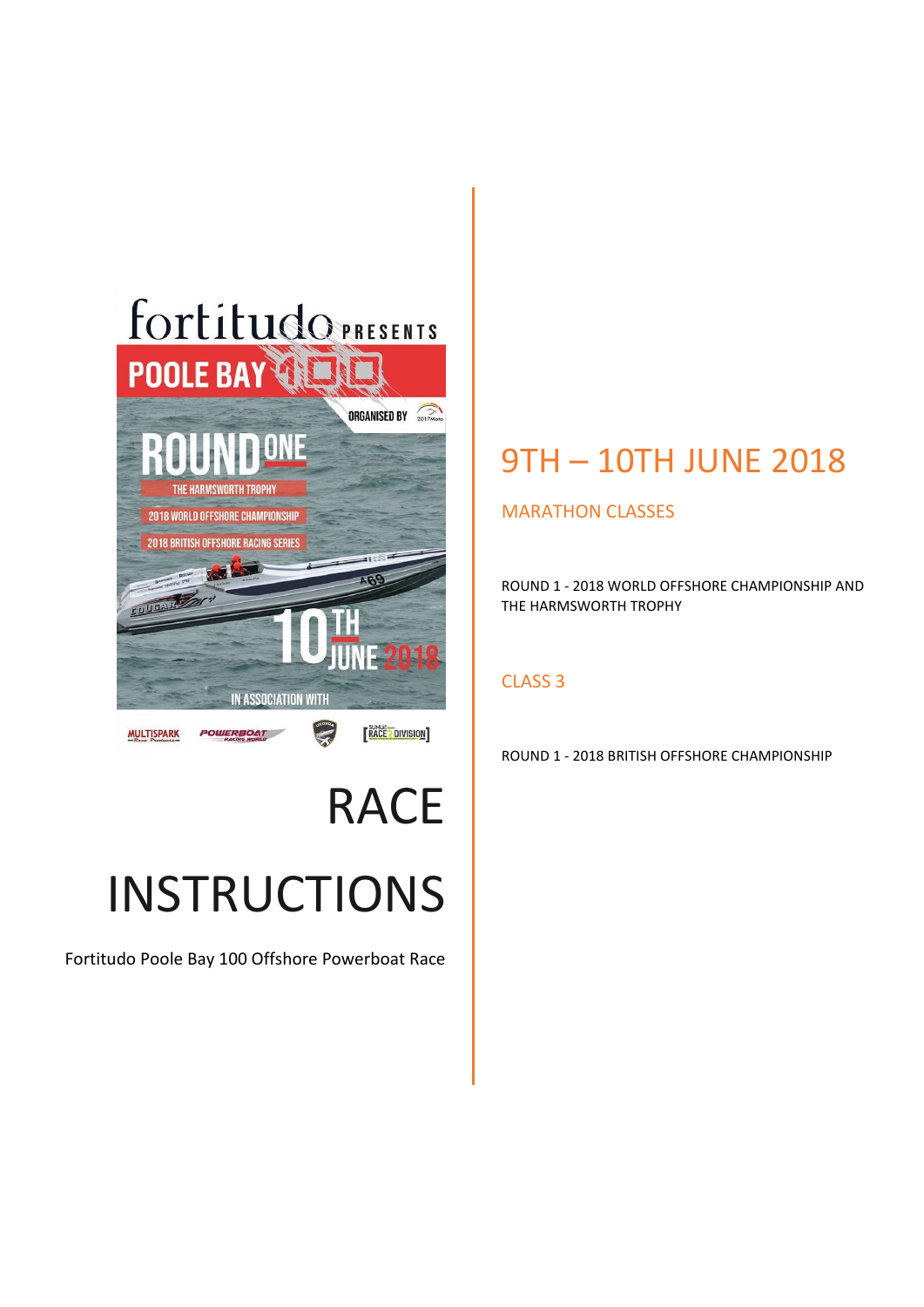

## RACE INSTRUCTIONS

Fortitudo Poole Bay 100 Offshore Powerboat Race

### 9TH – 10TH JUNE 2018

#### MARATHON CLASSES

ROUND 1 - 2018 WORLD OFFSHORE CHAMPIONSHIP AND THE HARMSWORTH TROPHY

#### CLASS 3

ROUND 1 - 2018 BRITISH OFFSHORE CHAMPIONSHIP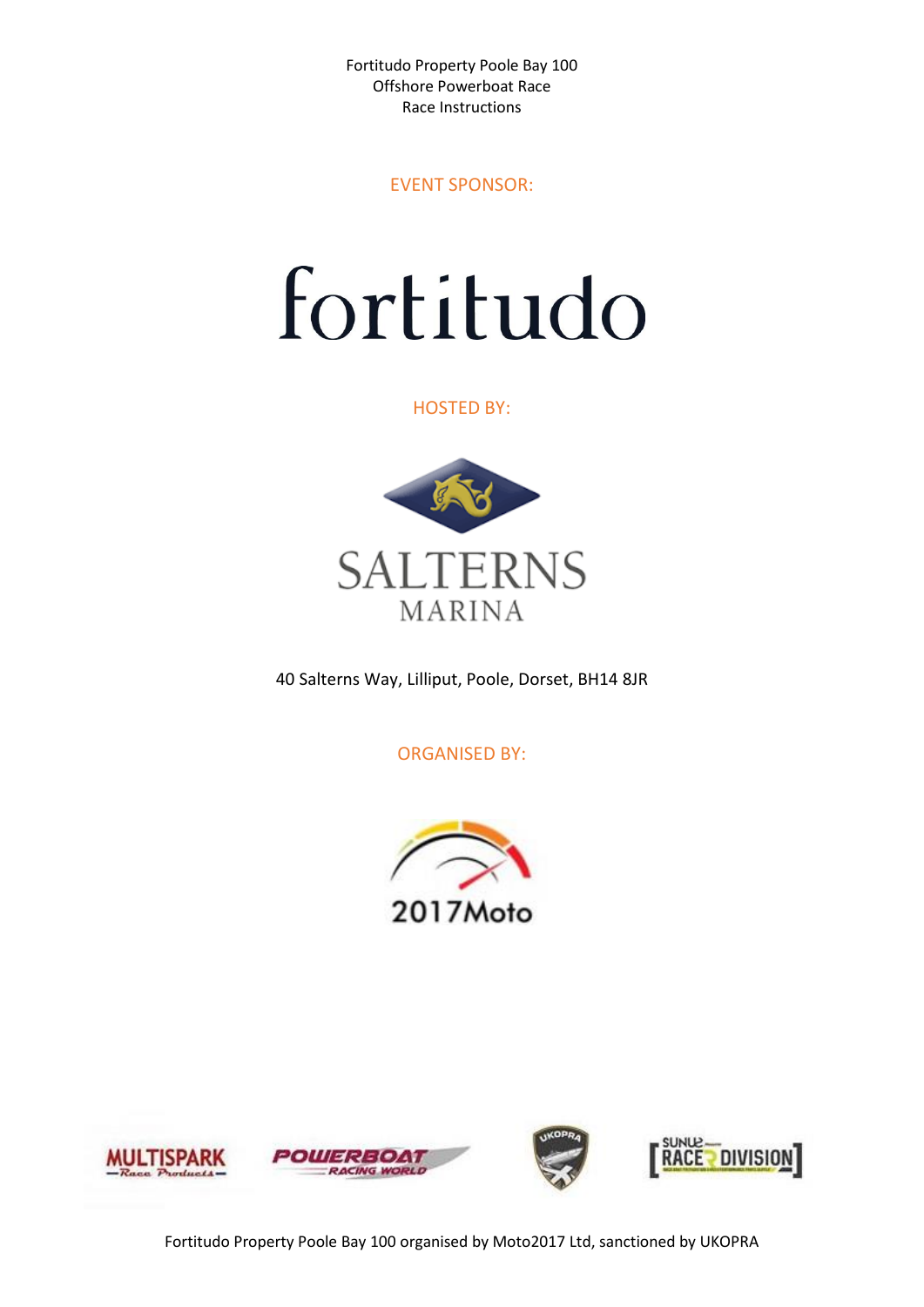EVENT SPONSOR:

# fortitudo

HOSTED BY:



40 Salterns Way, Lilliput, Poole, Dorset, BH14 8JR

ORGANISED BY:



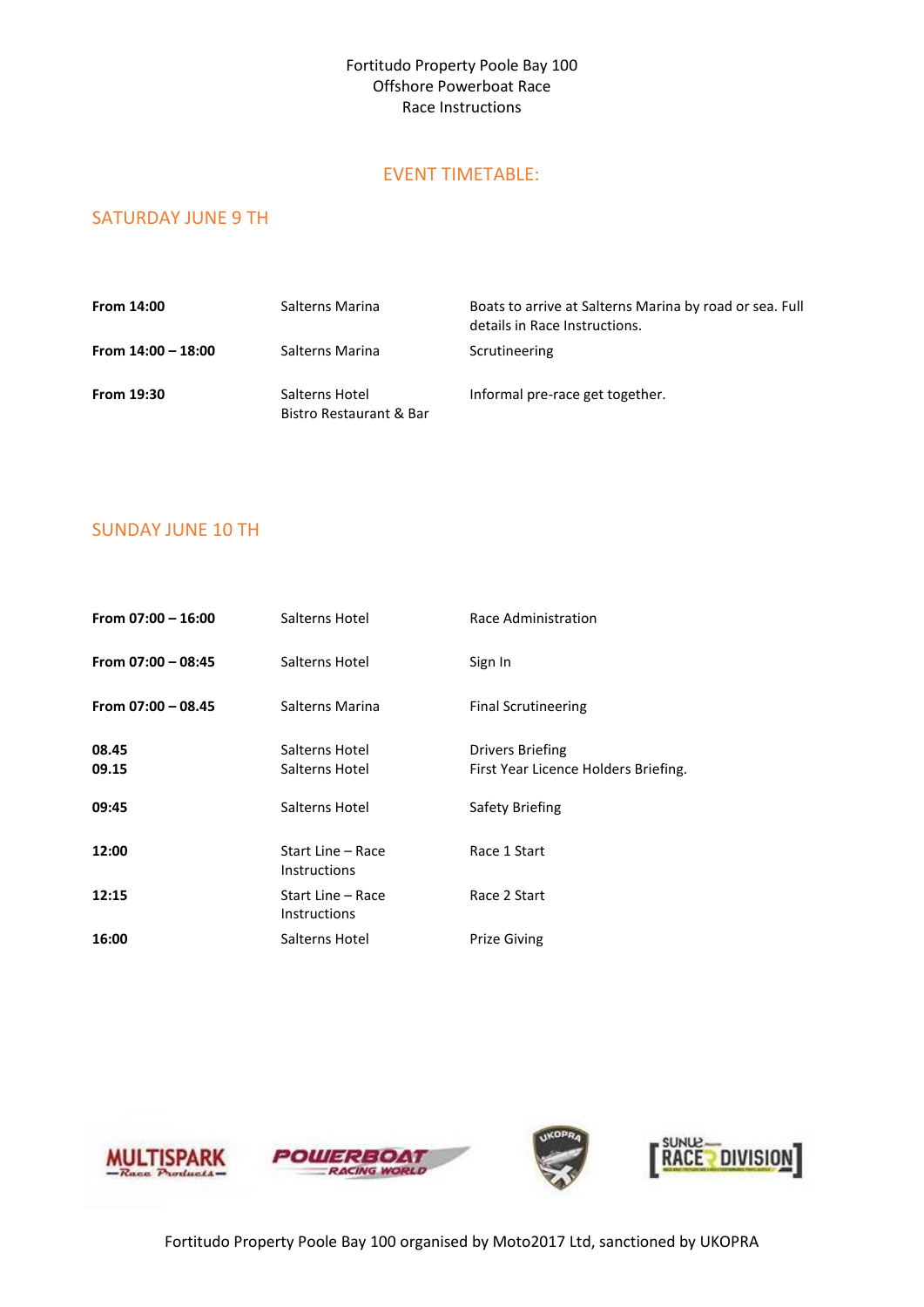#### EVENT TIMETABLE:

#### SATURDAY JUNE 9 TH

| From 14:00           | Salterns Marina                           | Boats to arrive at Salterns Marina by road or sea. Full<br>details in Race Instructions. |
|----------------------|-------------------------------------------|------------------------------------------------------------------------------------------|
| From $14:00 - 18:00$ | Salterns Marina                           | Scrutineering                                                                            |
| From 19:30           | Salterns Hotel<br>Bistro Restaurant & Bar | Informal pre-race get together.                                                          |

#### SUNDAY JUNE 10 TH

| From $07:00 - 16:00$ | Salterns Hotel                           | Race Administration                                             |
|----------------------|------------------------------------------|-----------------------------------------------------------------|
| From $07:00 - 08:45$ | Salterns Hotel                           | Sign In                                                         |
| From $07:00 - 08.45$ | Salterns Marina                          | <b>Final Scrutineering</b>                                      |
| 08.45<br>09.15       | Salterns Hotel<br>Salterns Hotel         | <b>Drivers Briefing</b><br>First Year Licence Holders Briefing. |
| 09:45                | Salterns Hotel                           | Safety Briefing                                                 |
| 12:00                | Start Line - Race<br><b>Instructions</b> | Race 1 Start                                                    |
| 12:15                | Start Line - Race<br><b>Instructions</b> | Race 2 Start                                                    |
| 16:00                | Salterns Hotel                           | <b>Prize Giving</b>                                             |

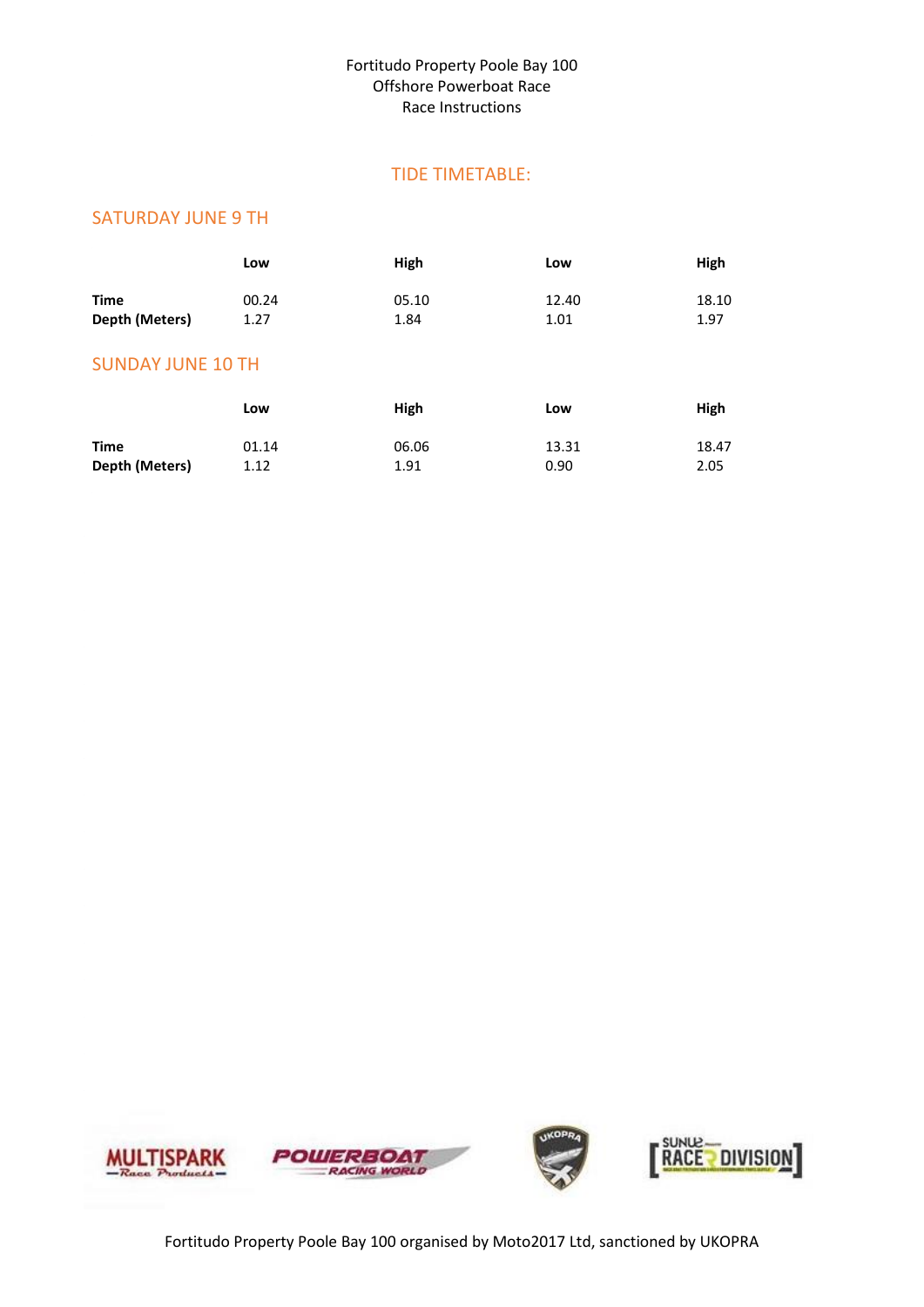#### TIDE TIMETABLE:

#### SATURDAY JUNE 9 TH

|                          | Low   | High  | Low   | High          |
|--------------------------|-------|-------|-------|---------------|
| <b>Time</b>              | 00.24 | 05.10 | 12.40 | 18.10<br>1.97 |
| Depth (Meters)           | 1.27  | 1.84  | 1.01  |               |
| <b>SUNDAY JUNE 10 TH</b> |       |       |       |               |
|                          | Low   | High  | Low   | High          |

|                | ---   |       | ---   | ייסיי |
|----------------|-------|-------|-------|-------|
| <b>Time</b>    | 01.14 | 06.06 | 13.31 | 18.47 |
| Depth (Meters) | 1.12  | 1.91  | 0.90  | 2.05  |

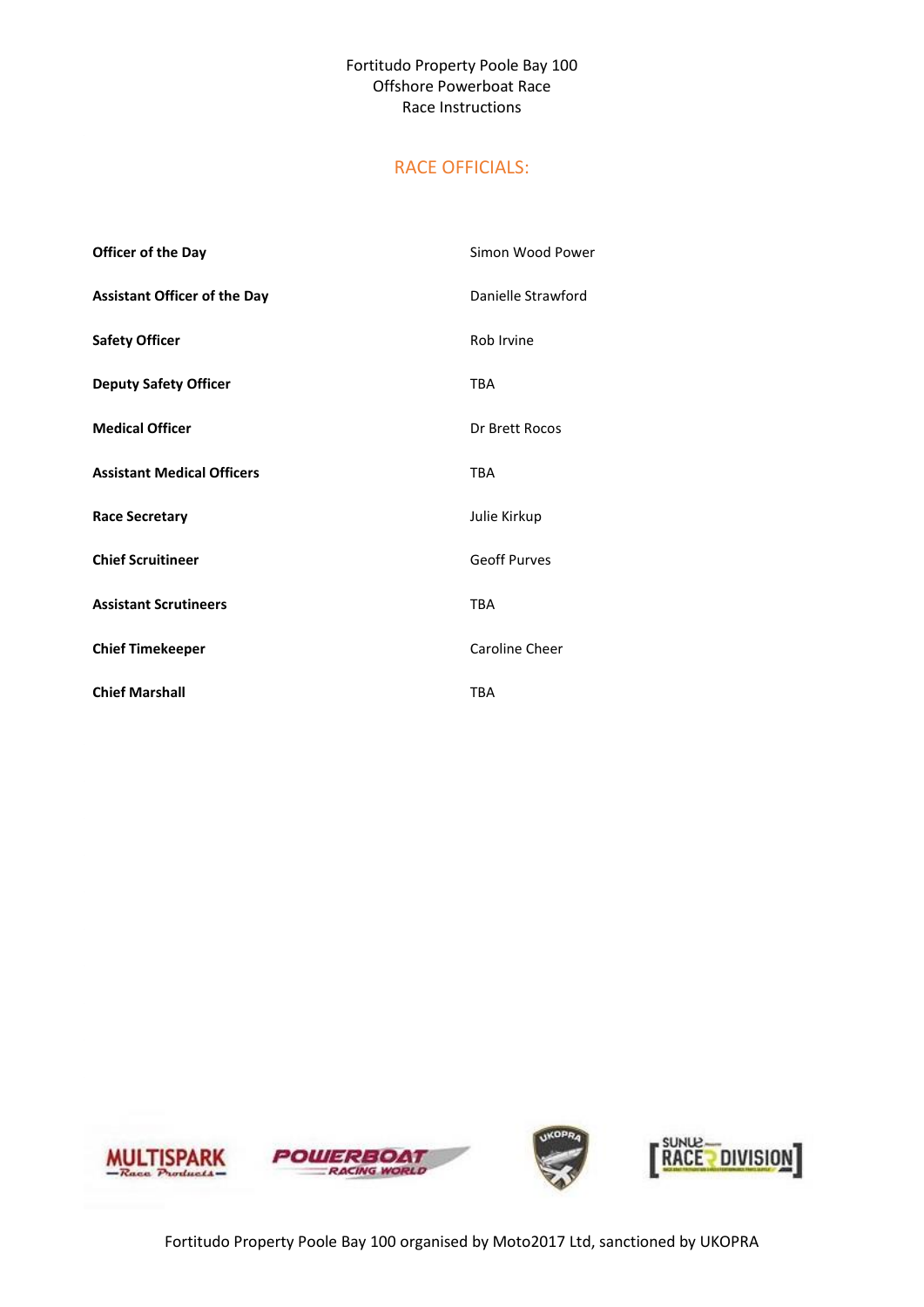#### RACE OFFICIALS:

| <b>Officer of the Day</b>           | Simon Wood Power    |
|-------------------------------------|---------------------|
| <b>Assistant Officer of the Day</b> | Danielle Strawford  |
| <b>Safety Officer</b>               | Rob Irvine          |
| <b>Deputy Safety Officer</b>        | <b>TBA</b>          |
| <b>Medical Officer</b>              | Dr Brett Rocos      |
| <b>Assistant Medical Officers</b>   | <b>TBA</b>          |
| <b>Race Secretary</b>               | Julie Kirkup        |
| <b>Chief Scruitineer</b>            | <b>Geoff Purves</b> |
| <b>Assistant Scrutineers</b>        | <b>TBA</b>          |
| <b>Chief Timekeeper</b>             | Caroline Cheer      |
| <b>Chief Marshall</b>               | <b>TBA</b>          |

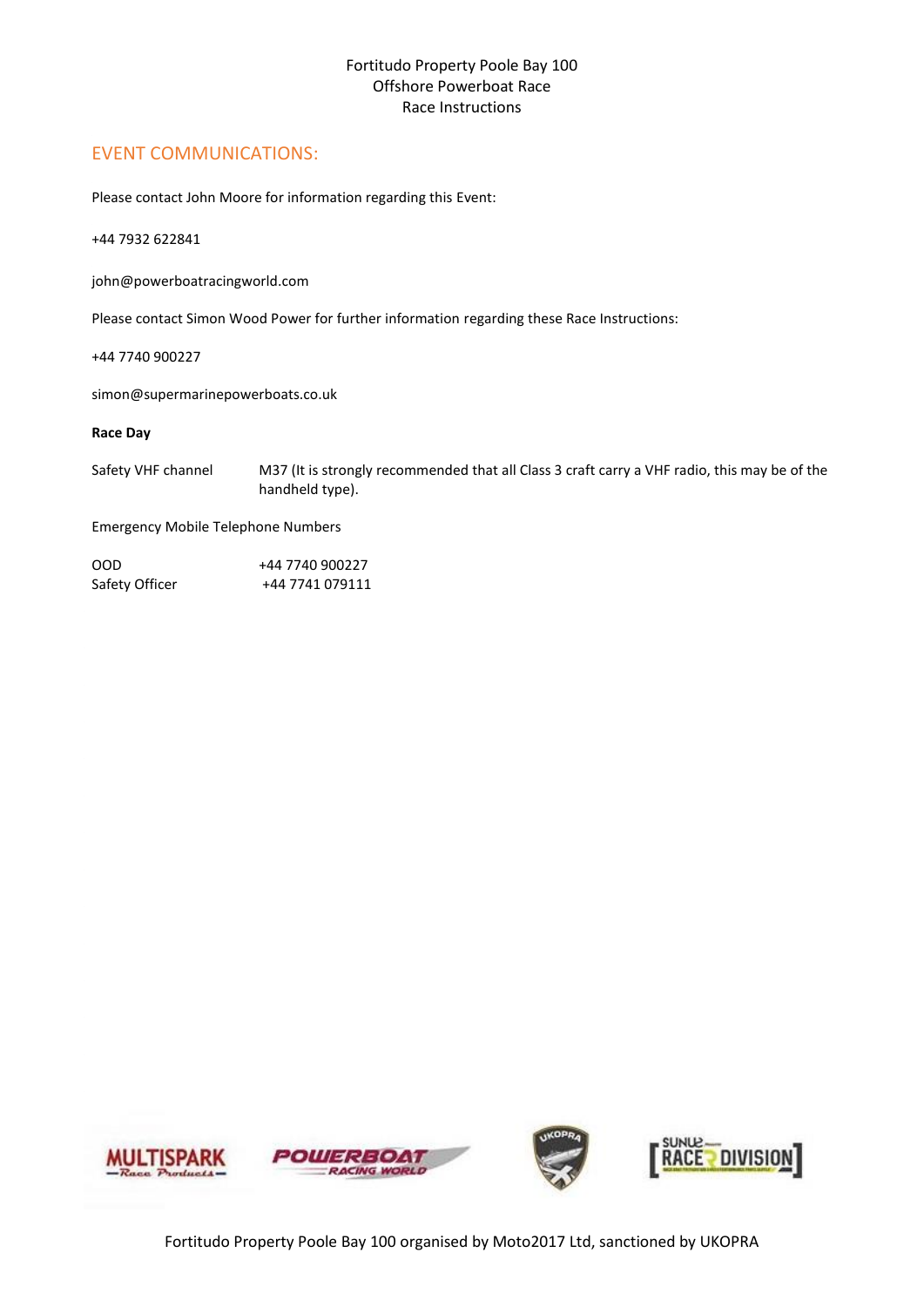#### EVENT COMMUNICATIONS:

Please contact John Moore for information regarding this Event:

+44 7932 622841

john@powerboatracingworld.com

Please contact Simon Wood Power for further information regarding these Race Instructions:

+44 7740 900227

simon@supermarinepowerboats.co.uk

#### **Race Day**

Safety VHF channel M37 (It is strongly recommended that all Class 3 craft carry a VHF radio, this may be of the handheld type).

Emergency Mobile Telephone Numbers

| OOD            | +44 7740 900227 |
|----------------|-----------------|
| Safety Officer | +44 7741 079111 |

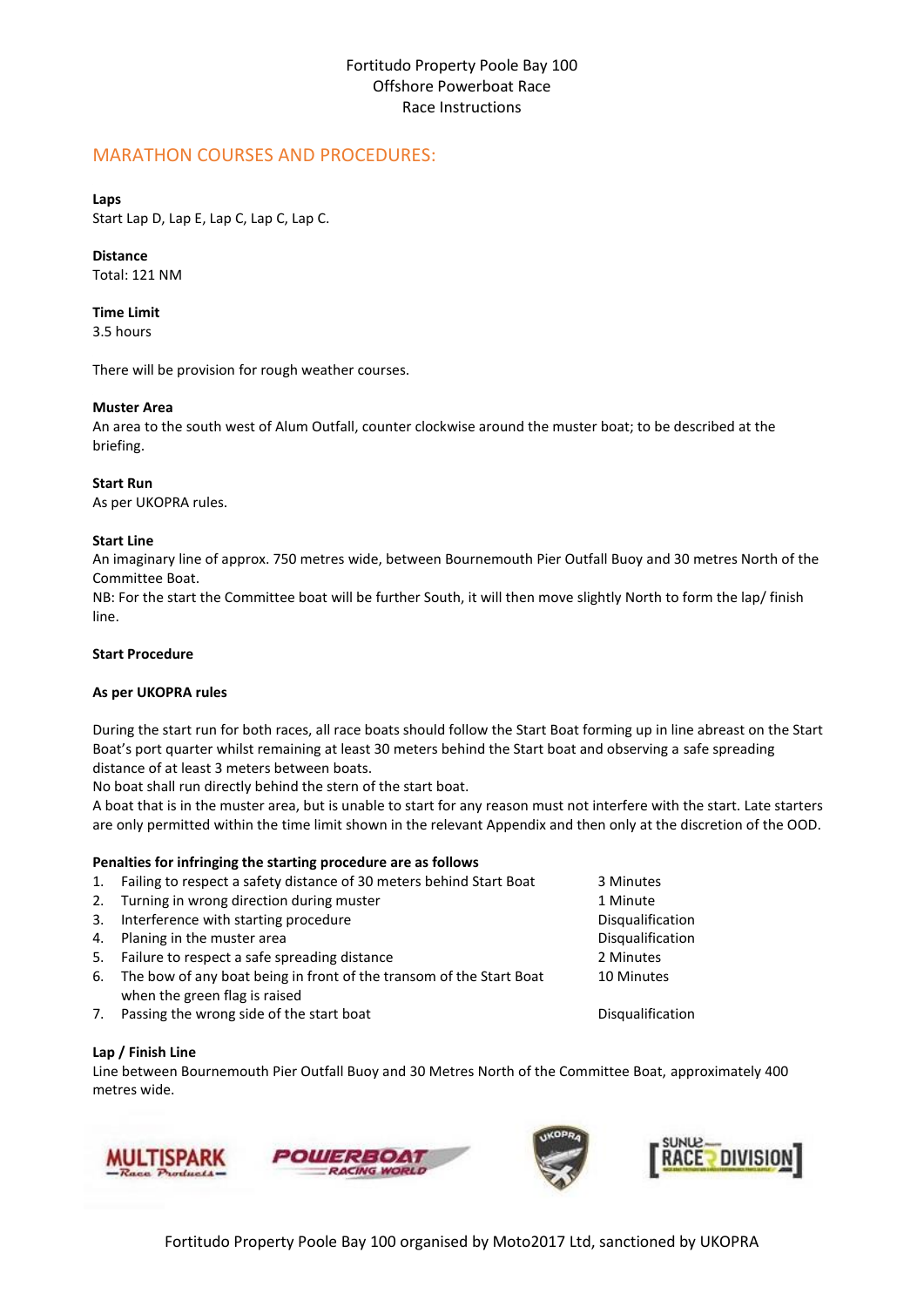#### MARATHON COURSES AND PROCEDURES:

#### **Laps**

Start Lap D, Lap E, Lap C, Lap C, Lap C.

#### **Distance**

Total: 121 NM

#### **Time Limit**

3.5 hours

There will be provision for rough weather courses.

#### **Muster Area**

An area to the south west of Alum Outfall, counter clockwise around the muster boat; to be described at the briefing.

#### **Start Run**

As per UKOPRA rules.

#### **Start Line**

An imaginary line of approx. 750 metres wide, between Bournemouth Pier Outfall Buoy and 30 metres North of the Committee Boat.

NB: For the start the Committee boat will be further South, it will then move slightly North to form the lap/ finish line.

#### **Start Procedure**

#### **As per UKOPRA rules**

During the start run for both races, all race boats should follow the Start Boat forming up in line abreast on the Start Boat's port quarter whilst remaining at least 30 meters behind the Start boat and observing a safe spreading distance of at least 3 meters between boats.

No boat shall run directly behind the stern of the start boat.

A boat that is in the muster area, but is unable to start for any reason must not interfere with the start. Late starters are only permitted within the time limit shown in the relevant Appendix and then only at the discretion of the OOD.

#### **Penalties for infringing the starting procedure are as follows**

| 1. | Failing to respect a safety distance of 30 meters behind Start Boat                                  | 3 Minutes        |
|----|------------------------------------------------------------------------------------------------------|------------------|
| 2. | Turning in wrong direction during muster                                                             | 1 Minute         |
| 3. | Interference with starting procedure                                                                 | Disqualification |
| 4. | Planing in the muster area                                                                           | Disqualification |
| 5. | Failure to respect a safe spreading distance                                                         | 2 Minutes        |
| 6. | The bow of any boat being in front of the transom of the Start Boat<br>when the green flag is raised | 10 Minutes       |
| 7. | Passing the wrong side of the start boat                                                             | Disqualification |

#### **Lap / Finish Line**

Line between Bournemouth Pier Outfall Buoy and 30 Metres North of the Committee Boat, approximately 400 metres wide.







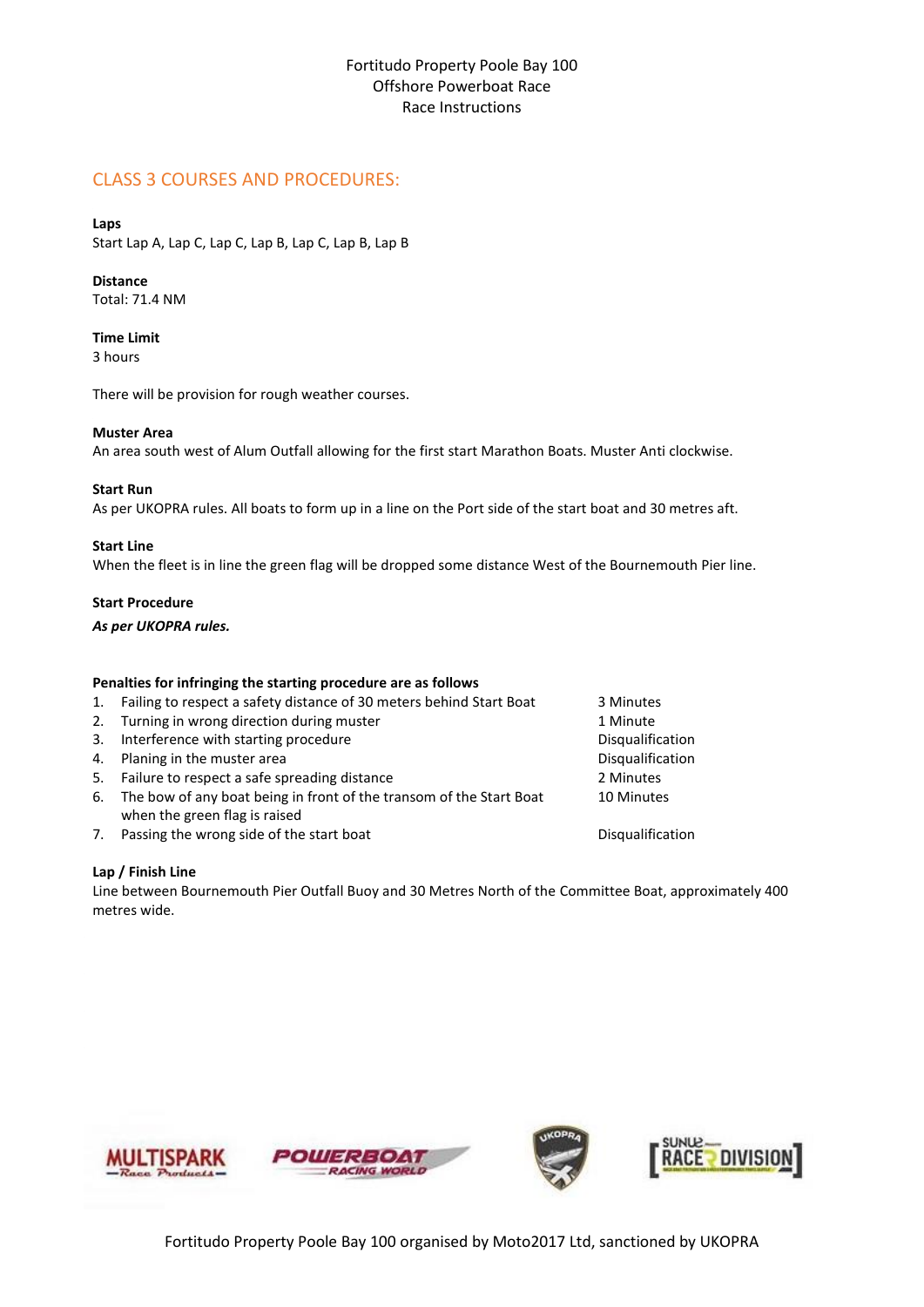#### CLASS 3 COURSES AND PROCEDURES:

#### **Laps**

Start Lap A, Lap C, Lap C, Lap B, Lap C, Lap B, Lap B

#### **Distance**

Total: 71.4 NM

#### **Time Limit**

3 hours

There will be provision for rough weather courses.

#### **Muster Area**

An area south west of Alum Outfall allowing for the first start Marathon Boats. Muster Anti clockwise.

#### **Start Run**

As per UKOPRA rules. All boats to form up in a line on the Port side of the start boat and 30 metres aft.

#### **Start Line**

When the fleet is in line the green flag will be dropped some distance West of the Bournemouth Pier line.

#### **Start Procedure**

*As per UKOPRA rules.*

#### **Penalties for infringing the starting procedure are as follows**

#### 1. Failing to respect a safety distance of 30 meters behind Start Boat 3 Minutes

- 2. Turning in wrong direction during muster 1 Minute
- 3. Interference with starting procedure discussed and the Disqualification
- 4. Planing in the muster area **Distribution** of the mustake proposed in the mustake point of the must bisqualification
- 5. Failure to respect a safe spreading distance 2 Minutes
- 6. The bow of any boat being in front of the transom of the Start Boat when the green flag is raised
- 7. Passing the wrong side of the start boat Disqualification Disqualification

#### **Lap / Finish Line**

Line between Bournemouth Pier Outfall Buoy and 30 Metres North of the Committee Boat, approximately 400 metres wide.

10 Minutes

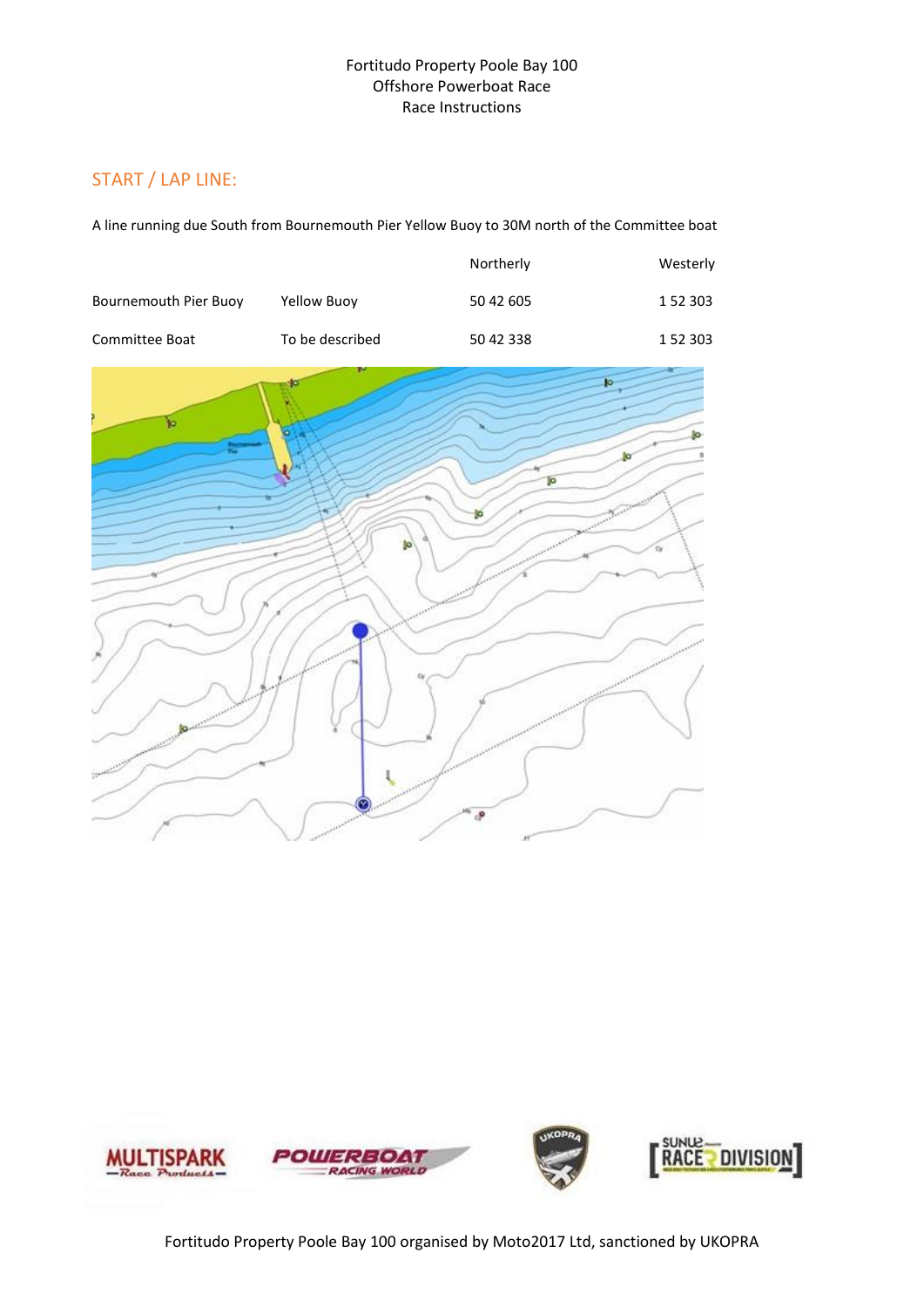#### START / LAP LINE:

A line running due South from Bournemouth Pier Yellow Buoy to 30M north of the Committee boat

|                       |                 | Northerly | Westerly |
|-----------------------|-----------------|-----------|----------|
| Bournemouth Pier Buoy | Yellow Buoy     | 50 42 605 | 1 52 303 |
| Committee Boat        | To be described | 50 42 338 | 1 52 303 |



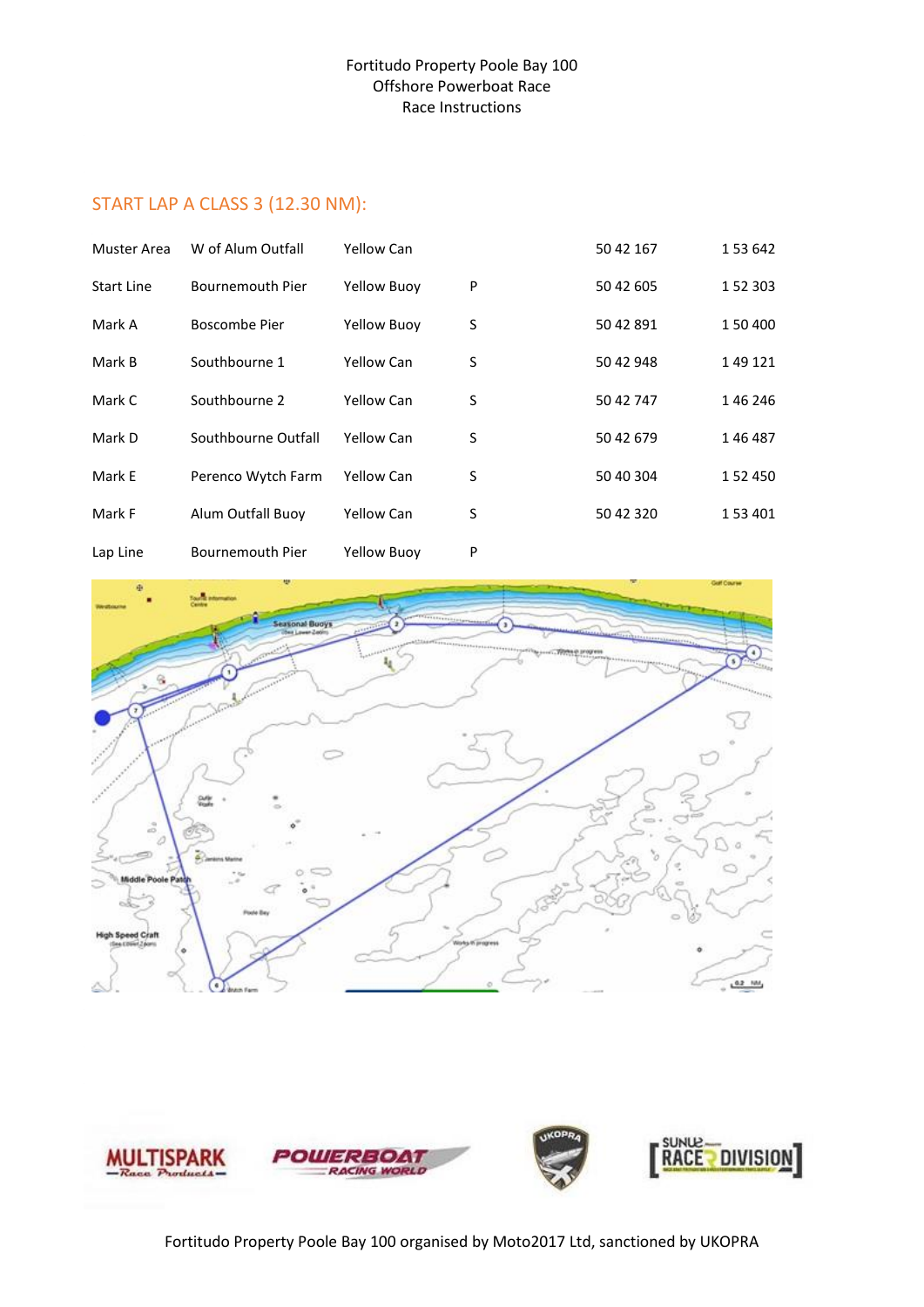#### START LAP A CLASS 3 (12.30 NM):

| Muster Area | W of Alum Outfall       | Yellow Can         |   | 50 42 167 | 1 53 642  |
|-------------|-------------------------|--------------------|---|-----------|-----------|
| Start Line  | Bournemouth Pier        | <b>Yellow Buoy</b> | P | 50 42 605 | 1 52 303  |
| Mark A      | Boscombe Pier           | <b>Yellow Buoy</b> | S | 50 42 891 | 1 50 400  |
| Mark B      | Southbourne 1           | Yellow Can         | S | 50 42 948 | 149121    |
| Mark C      | Southbourne 2           | Yellow Can         | S | 50 42 747 | 146 246   |
| Mark D      | Southbourne Outfall     | Yellow Can         | S | 50 42 679 | 146487    |
| Mark E      | Perenco Wytch Farm      | <b>Yellow Can</b>  | S | 50 40 304 | 1 52 4 50 |
| Mark F      | Alum Outfall Buoy       | Yellow Can         | S | 50 42 320 | 1 53 401  |
| Lap Line    | <b>Bournemouth Pier</b> | <b>Yellow Buoy</b> | P |           |           |



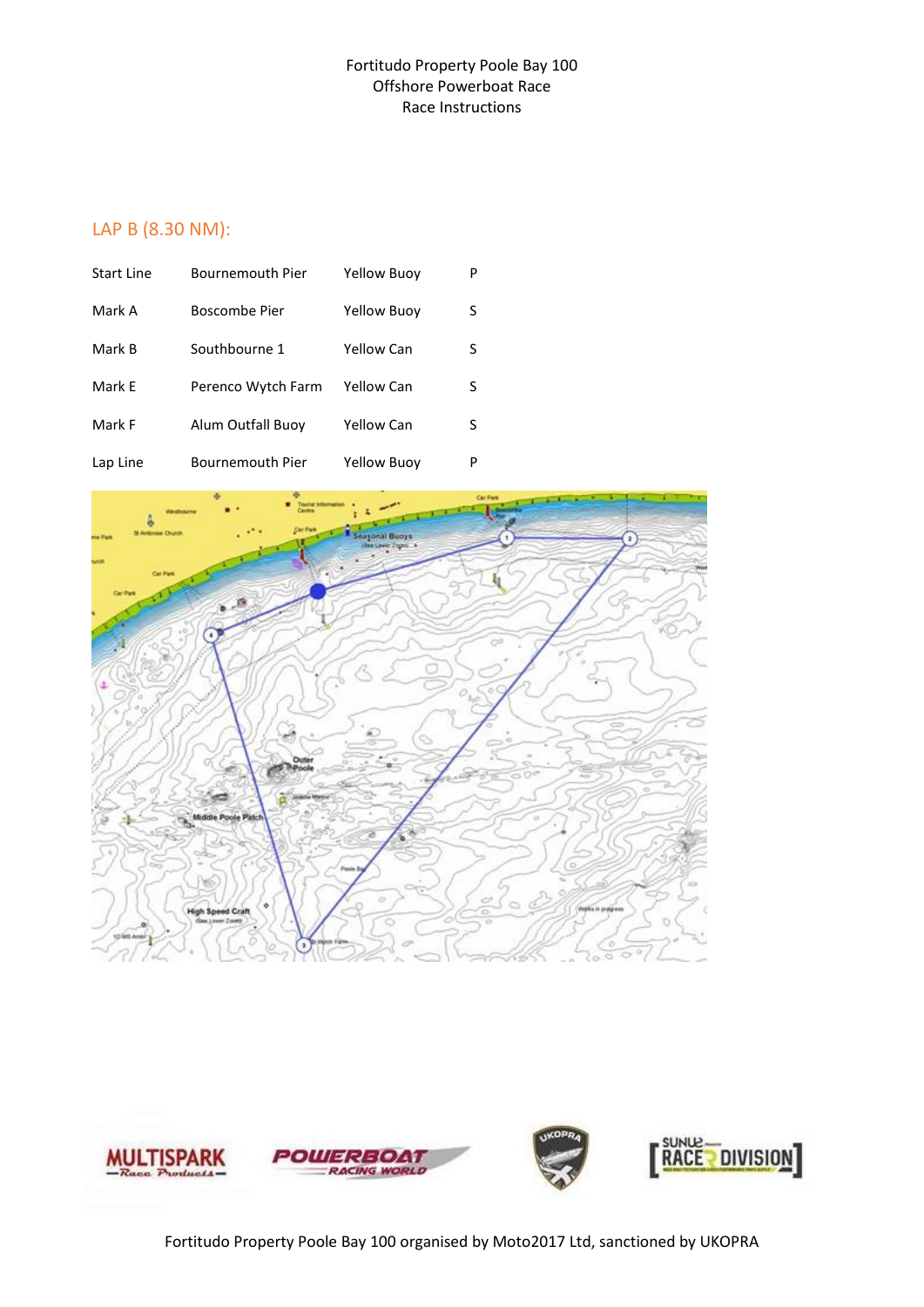#### LAP B (8.30 NM):

| <b>Start Line</b> | <b>Bournemouth Pier</b> | Yellow Buoy        | P |
|-------------------|-------------------------|--------------------|---|
| Mark A            | Boscombe Pier           | <b>Yellow Buoy</b> | S |
| Mark B            | Southbourne 1           | Yellow Can         | S |
| Mark F            | Perenco Wytch Farm      | Yellow Can         | S |
| Mark F            | Alum Outfall Buoy       | Yellow Can         | S |
| Lap Line          | <b>Bournemouth Pier</b> | <b>Yellow Buoy</b> | P |



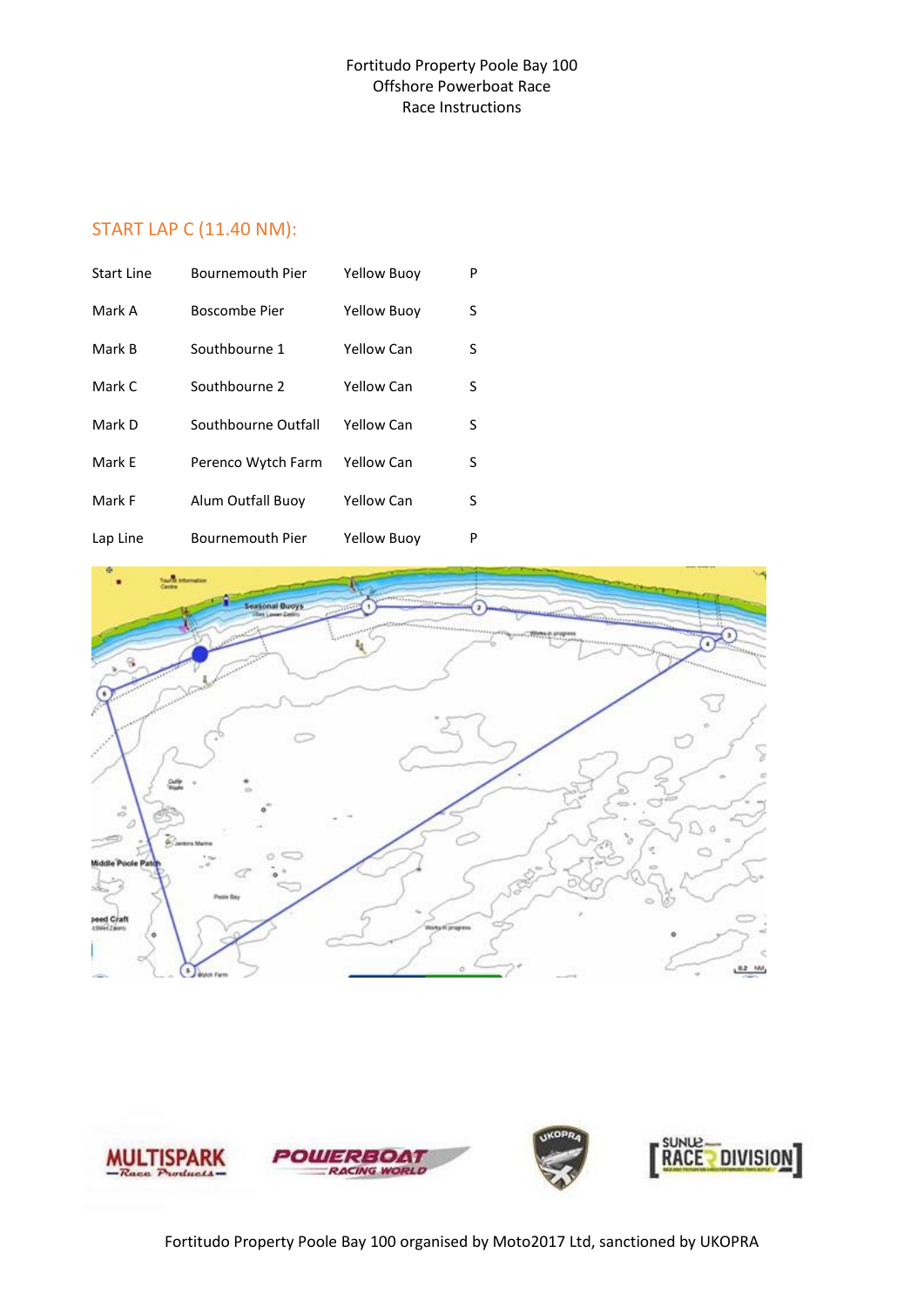#### START LAP C (11.40 NM):

| Start Line | <b>Bournemouth Pier</b> | Yellow Buoy        | P |
|------------|-------------------------|--------------------|---|
| Mark A     | Boscombe Pier           | <b>Yellow Buoy</b> | S |
| Mark B     | Southbourne 1           | <b>Yellow Can</b>  | S |
| Mark C     | Southbourne 2           | <b>Yellow Can</b>  | S |
| Mark D     | Southbourne Outfall     | Yellow Can         | S |
| Mark E     | Perenco Wytch Farm      | <b>Yellow Can</b>  | S |
| Mark F     | Alum Outfall Buoy       | <b>Yellow Can</b>  | S |
| Lap Line   | Bournemouth Pier        | <b>Yellow Buoy</b> | P |



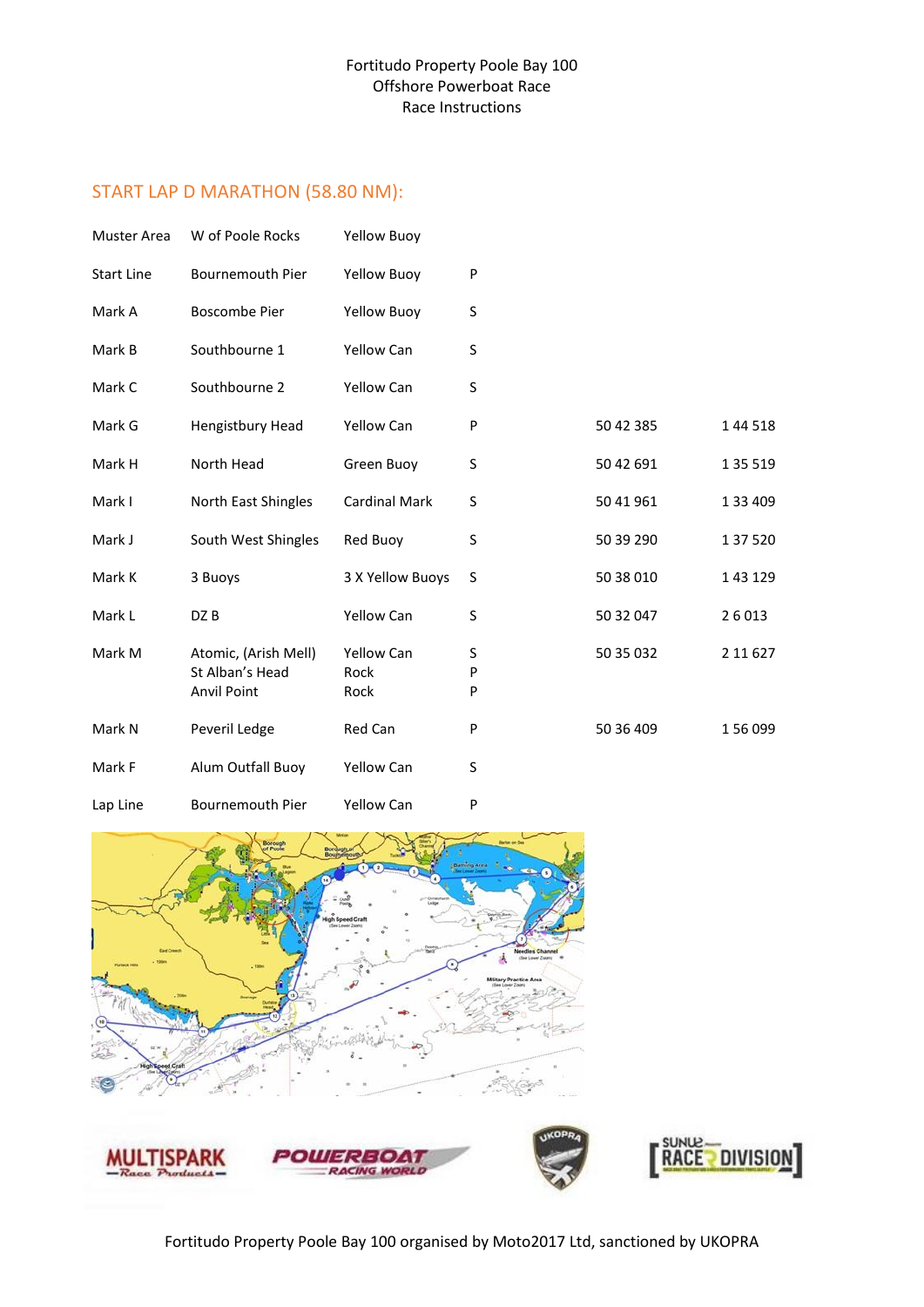#### START LAP D MARATHON (58.80 NM):

| <b>Muster Area</b> | W of Poole Rocks                                       | <b>Yellow Buoy</b>         |             |           |           |
|--------------------|--------------------------------------------------------|----------------------------|-------------|-----------|-----------|
| <b>Start Line</b>  | Bournemouth Pier                                       | <b>Yellow Buoy</b>         | ${\sf P}$   |           |           |
| Mark A             | <b>Boscombe Pier</b>                                   | <b>Yellow Buoy</b>         | S           |           |           |
| Mark B             | Southbourne 1                                          | <b>Yellow Can</b>          | S           |           |           |
| Mark C             | Southbourne 2                                          | <b>Yellow Can</b>          | S           |           |           |
| Mark G             | Hengistbury Head                                       | Yellow Can                 | P           | 50 42 385 | 1 44 5 18 |
| Mark H             | North Head                                             | Green Buoy                 | S           | 50 42 691 | 1 35 519  |
| Mark I             | North East Shingles                                    | <b>Cardinal Mark</b>       | S           | 50 41 961 | 1 33 409  |
| Mark J             | South West Shingles                                    | Red Buoy                   | S           | 50 39 290 | 1 37 5 20 |
| Mark K             | 3 Buoys                                                | 3 X Yellow Buoys           | S           | 50 38 010 | 1 43 1 29 |
| Mark L             | DZ B                                                   | <b>Yellow Can</b>          | S           | 50 32 047 | 26013     |
| Mark M             | Atomic, (Arish Mell)<br>St Alban's Head<br>Anvil Point | Yellow Can<br>Rock<br>Rock | S<br>P<br>P | 50 35 032 | 2 11 6 27 |
| Mark N             | Peveril Ledge                                          | Red Can                    | P           | 50 36 409 | 156 099   |
| Mark F             | Alum Outfall Buoy                                      | Yellow Can                 | S           |           |           |
| Lap Line           | Bournemouth Pier                                       | <b>Yellow Can</b>          | P           |           |           |



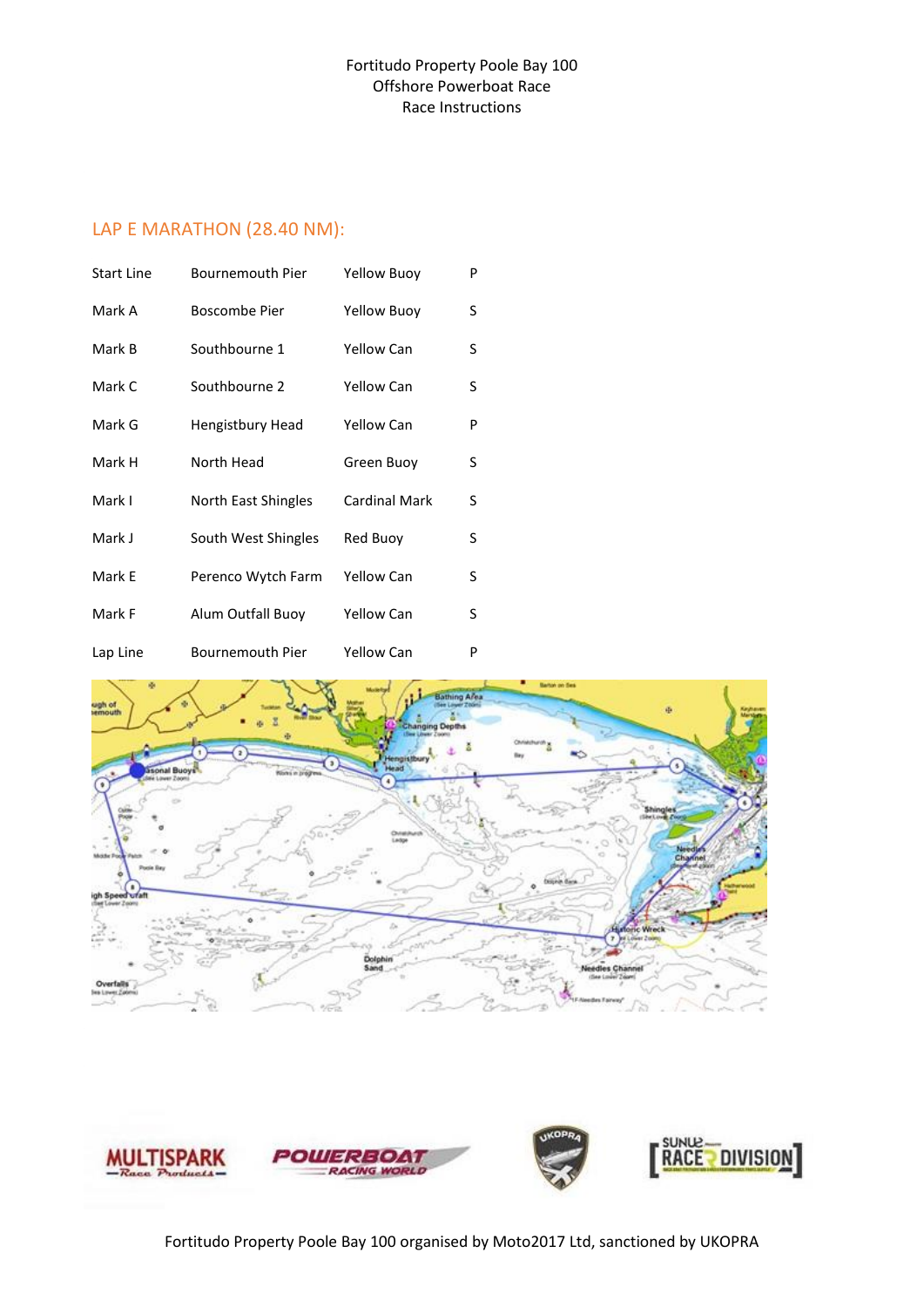#### LAP E MARATHON (28.40 NM):

| <b>Start Line</b> | Bournemouth Pier    | <b>Yellow Buoy</b>   | P |
|-------------------|---------------------|----------------------|---|
| Mark A            | Boscombe Pier       | Yellow Buoy          | S |
| Mark B            | Southbourne 1       | <b>Yellow Can</b>    | S |
| Mark C            | Southbourne 2       | <b>Yellow Can</b>    | S |
| Mark G            | Hengistbury Head    | <b>Yellow Can</b>    | P |
| Mark H            | North Head          | Green Buoy           | S |
| Mark I            | North East Shingles | <b>Cardinal Mark</b> | S |
| Mark J            | South West Shingles | Red Buoy             | S |
| Mark E            | Perenco Wytch Farm  | <b>Yellow Can</b>    | S |
| Mark F            | Alum Outfall Buoy   | <b>Yellow Can</b>    | S |
| Lap Line          | Bournemouth Pier    | <b>Yellow Can</b>    | P |



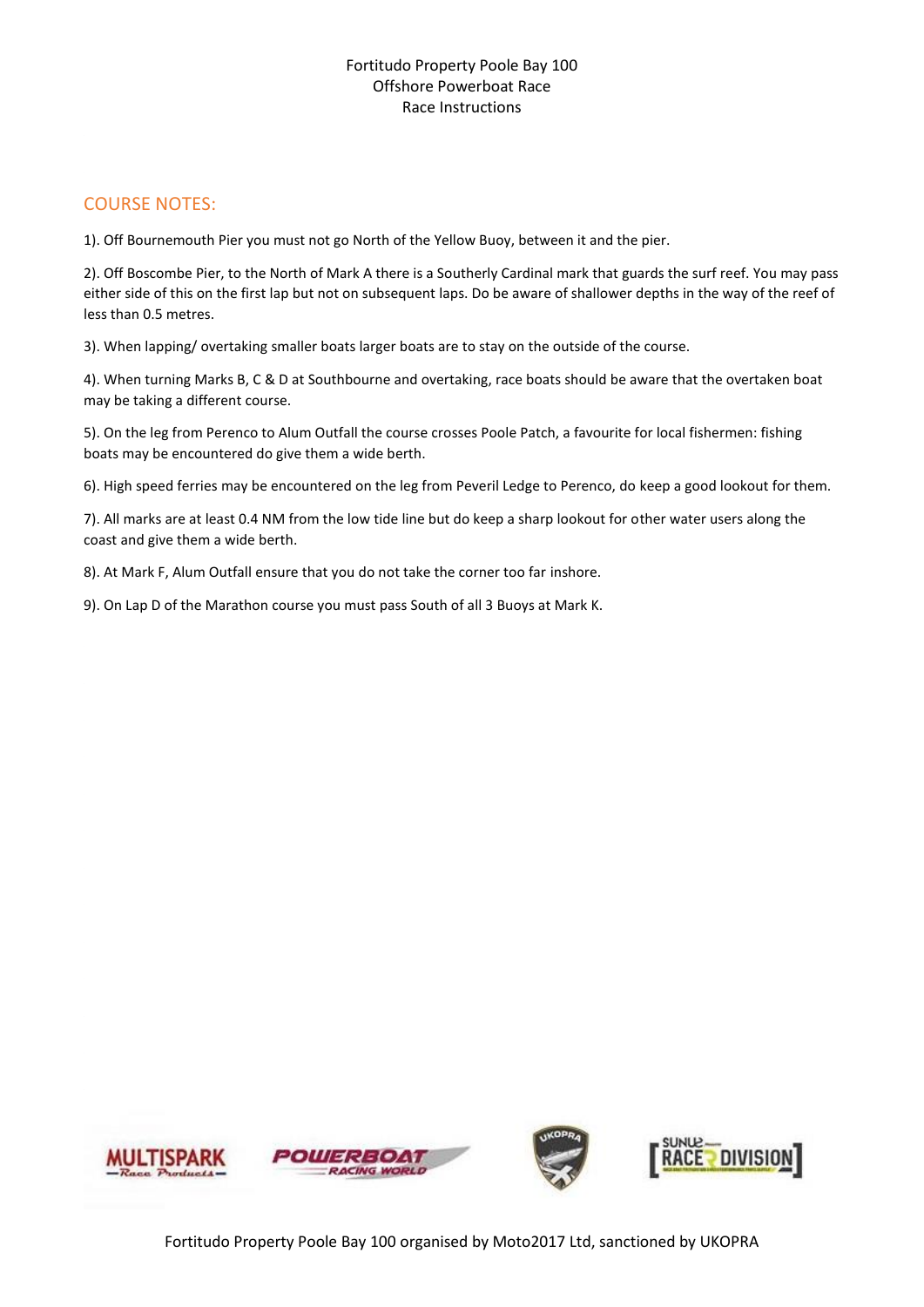#### COURSE NOTES:

1). Off Bournemouth Pier you must not go North of the Yellow Buoy, between it and the pier.

2). Off Boscombe Pier, to the North of Mark A there is a Southerly Cardinal mark that guards the surf reef. You may pass either side of this on the first lap but not on subsequent laps. Do be aware of shallower depths in the way of the reef of less than 0.5 metres.

3). When lapping/ overtaking smaller boats larger boats are to stay on the outside of the course.

4). When turning Marks B, C & D at Southbourne and overtaking, race boats should be aware that the overtaken boat may be taking a different course.

5). On the leg from Perenco to Alum Outfall the course crosses Poole Patch, a favourite for local fishermen: fishing boats may be encountered do give them a wide berth.

6). High speed ferries may be encountered on the leg from Peveril Ledge to Perenco, do keep a good lookout for them.

7). All marks are at least 0.4 NM from the low tide line but do keep a sharp lookout for other water users along the coast and give them a wide berth.

8). At Mark F, Alum Outfall ensure that you do not take the corner too far inshore.

9). On Lap D of the Marathon course you must pass South of all 3 Buoys at Mark K.

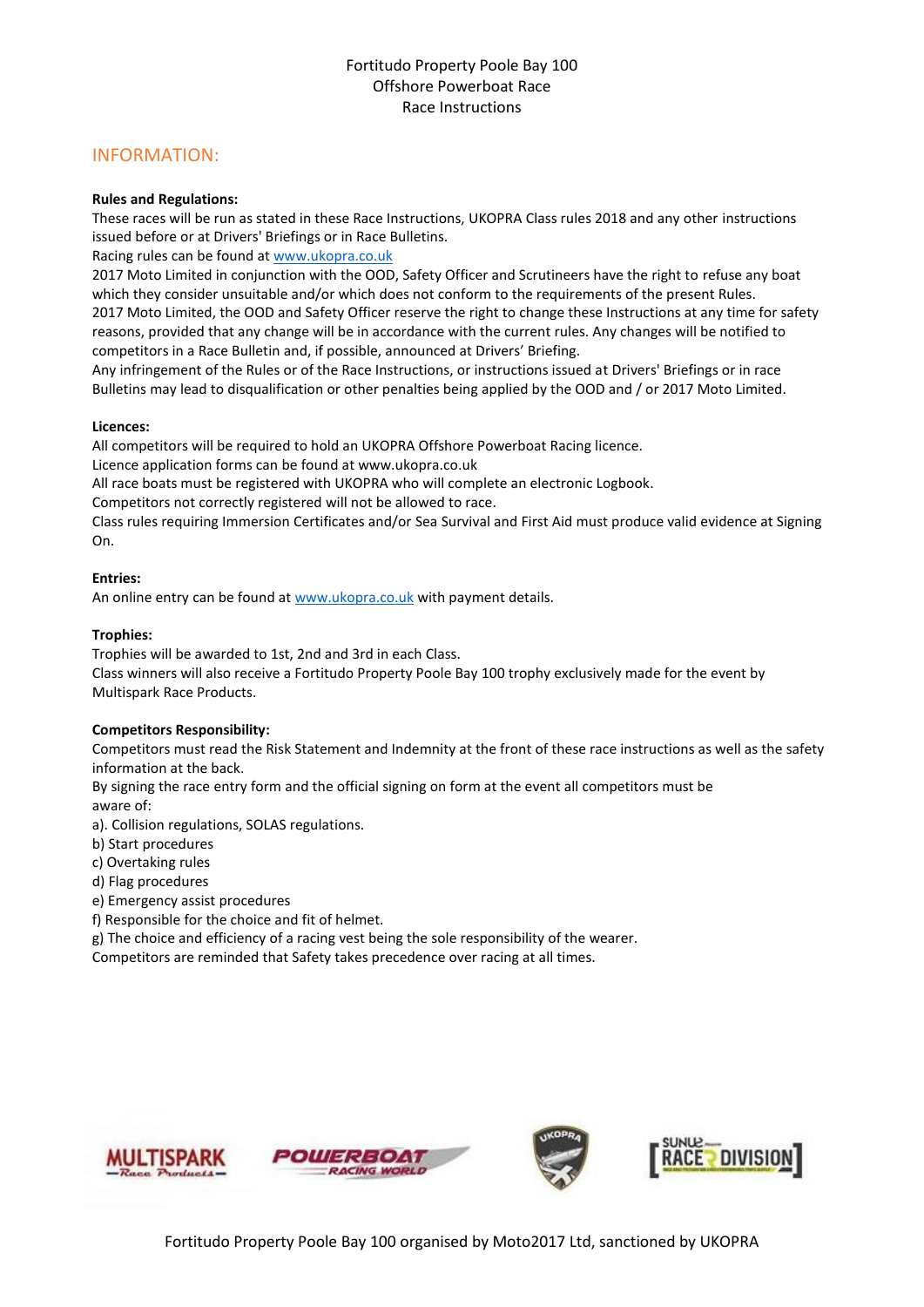#### INFORMATION:

#### **Rules and Regulations:**

These races will be run as stated in these Race Instructions, UKOPRA Class rules 2018 and any other instructions issued before or at Drivers' Briefings or in Race Bulletins.

Racing rules can be found a[t www.ukopra.co.uk](http://www.ukopra.co.uk/)

2017 Moto Limited in conjunction with the OOD, Safety Officer and Scrutineers have the right to refuse any boat which they consider unsuitable and/or which does not conform to the requirements of the present Rules. 2017 Moto Limited, the OOD and Safety Officer reserve the right to change these Instructions at any time for safety reasons, provided that any change will be in accordance with the current rules. Any changes will be notified to competitors in a Race Bulletin and, if possible, announced at Drivers' Briefing.

Any infringement of the Rules or of the Race Instructions, or instructions issued at Drivers' Briefings or in race Bulletins may lead to disqualification or other penalties being applied by the OOD and / or 2017 Moto Limited.

#### **Licences:**

All competitors will be required to hold an UKOPRA Offshore Powerboat Racing licence.

Licence application forms can be found at www.ukopra.co.uk

All race boats must be registered with UKOPRA who will complete an electronic Logbook.

Competitors not correctly registered will not be allowed to race.

Class rules requiring Immersion Certificates and/or Sea Survival and First Aid must produce valid evidence at Signing On.

#### **Entries:**

An online entry can be found at [www.ukopra.co.uk](http://www.ukopra.co.uk/) with payment details.

#### **Trophies:**

Trophies will be awarded to 1st, 2nd and 3rd in each Class. Class winners will also receive a Fortitudo Property Poole Bay 100 trophy exclusively made for the event by Multispark Race Products.

#### **Competitors Responsibility:**

Competitors must read the Risk Statement and Indemnity at the front of these race instructions as well as the safety information at the back.

By signing the race entry form and the official signing on form at the event all competitors must be aware of:

a). Collision regulations, SOLAS regulations.

b) Start procedures

c) Overtaking rules

d) Flag procedures

e) Emergency assist procedures

f) Responsible for the choice and fit of helmet.

g) The choice and efficiency of a racing vest being the sole responsibility of the wearer.

Competitors are reminded that Safety takes precedence over racing at all times.

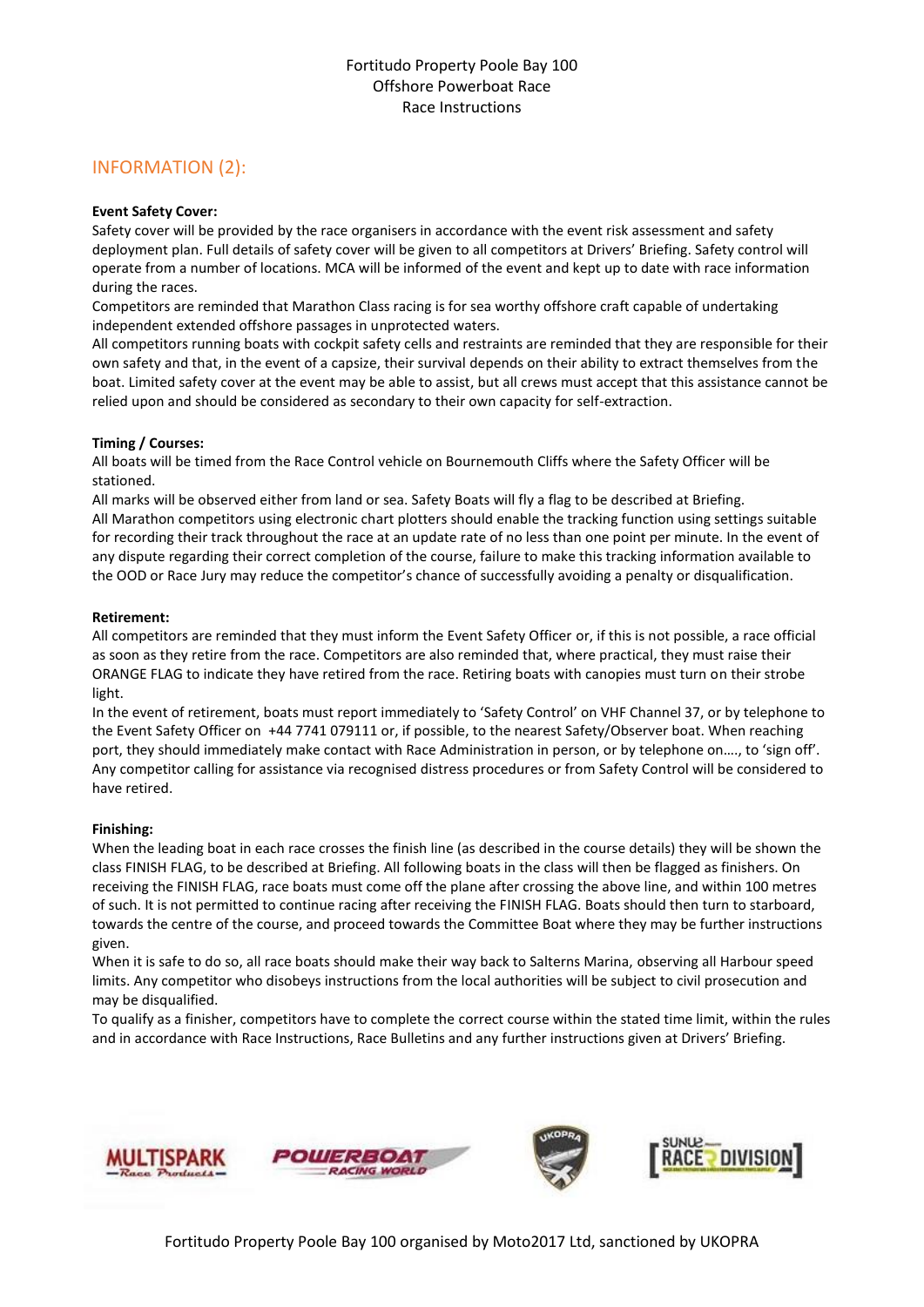#### INFORMATION (2):

#### **Event Safety Cover:**

Safety cover will be provided by the race organisers in accordance with the event risk assessment and safety deployment plan. Full details of safety cover will be given to all competitors at Drivers' Briefing. Safety control will operate from a number of locations. MCA will be informed of the event and kept up to date with race information during the races.

Competitors are reminded that Marathon Class racing is for sea worthy offshore craft capable of undertaking independent extended offshore passages in unprotected waters.

All competitors running boats with cockpit safety cells and restraints are reminded that they are responsible for their own safety and that, in the event of a capsize, their survival depends on their ability to extract themselves from the boat. Limited safety cover at the event may be able to assist, but all crews must accept that this assistance cannot be relied upon and should be considered as secondary to their own capacity for self-extraction.

#### **Timing / Courses:**

All boats will be timed from the Race Control vehicle on Bournemouth Cliffs where the Safety Officer will be stationed.

All marks will be observed either from land or sea. Safety Boats will fly a flag to be described at Briefing. All Marathon competitors using electronic chart plotters should enable the tracking function using settings suitable for recording their track throughout the race at an update rate of no less than one point per minute. In the event of any dispute regarding their correct completion of the course, failure to make this tracking information available to the OOD or Race Jury may reduce the competitor's chance of successfully avoiding a penalty or disqualification.

#### **Retirement:**

All competitors are reminded that they must inform the Event Safety Officer or, if this is not possible, a race official as soon as they retire from the race. Competitors are also reminded that, where practical, they must raise their ORANGE FLAG to indicate they have retired from the race. Retiring boats with canopies must turn on their strobe light.

In the event of retirement, boats must report immediately to 'Safety Control' on VHF Channel 37, or by telephone to the Event Safety Officer on +44 7741 079111 or, if possible, to the nearest Safety/Observer boat. When reaching port, they should immediately make contact with Race Administration in person, or by telephone on…., to 'sign off'. Any competitor calling for assistance via recognised distress procedures or from Safety Control will be considered to have retired.

#### **Finishing:**

When the leading boat in each race crosses the finish line (as described in the course details) they will be shown the class FINISH FLAG, to be described at Briefing. All following boats in the class will then be flagged as finishers. On receiving the FINISH FLAG, race boats must come off the plane after crossing the above line, and within 100 metres of such. It is not permitted to continue racing after receiving the FINISH FLAG. Boats should then turn to starboard, towards the centre of the course, and proceed towards the Committee Boat where they may be further instructions given.

When it is safe to do so, all race boats should make their way back to Salterns Marina, observing all Harbour speed limits. Any competitor who disobeys instructions from the local authorities will be subject to civil prosecution and may be disqualified.

To qualify as a finisher, competitors have to complete the correct course within the stated time limit, within the rules and in accordance with Race Instructions, Race Bulletins and any further instructions given at Drivers' Briefing.

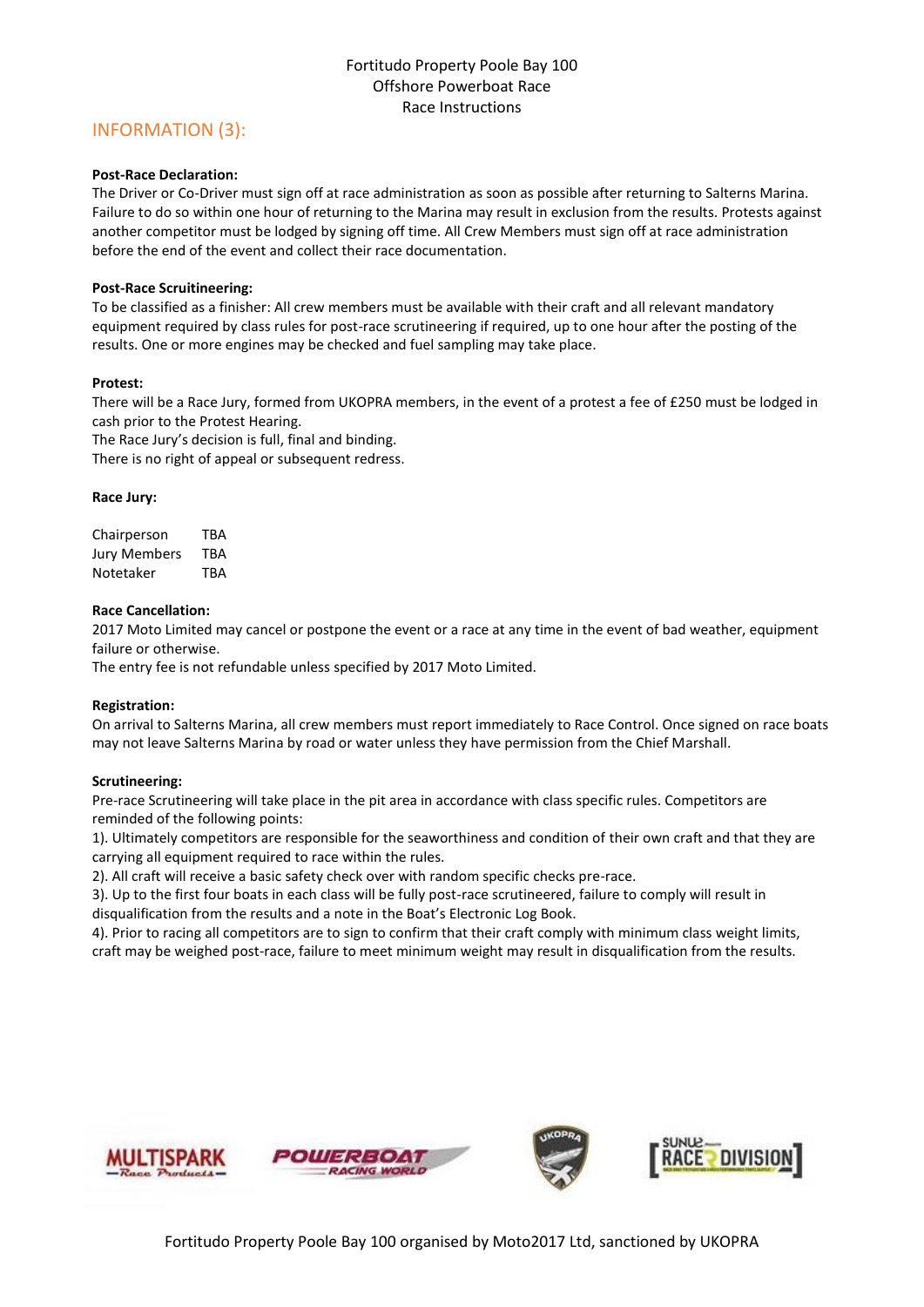#### INFORMATION (3):

#### **Post-Race Declaration:**

The Driver or Co-Driver must sign off at race administration as soon as possible after returning to Salterns Marina. Failure to do so within one hour of returning to the Marina may result in exclusion from the results. Protests against another competitor must be lodged by signing off time. All Crew Members must sign off at race administration before the end of the event and collect their race documentation.

#### **Post-Race Scruitineering:**

To be classified as a finisher: All crew members must be available with their craft and all relevant mandatory equipment required by class rules for post-race scrutineering if required, up to one hour after the posting of the results. One or more engines may be checked and fuel sampling may take place.

#### **Protest:**

There will be a Race Jury, formed from UKOPRA members, in the event of a protest a fee of £250 must be lodged in cash prior to the Protest Hearing.

The Race Jury's decision is full, final and binding.

There is no right of appeal or subsequent redress.

#### **Race Jury:**

Chairperson TBA Jury Members TBA Notetaker TBA

#### **Race Cancellation:**

2017 Moto Limited may cancel or postpone the event or a race at any time in the event of bad weather, equipment failure or otherwise.

The entry fee is not refundable unless specified by 2017 Moto Limited.

#### **Registration:**

On arrival to Salterns Marina, all crew members must report immediately to Race Control. Once signed on race boats may not leave Salterns Marina by road or water unless they have permission from the Chief Marshall.

#### **Scrutineering:**

Pre-race Scrutineering will take place in the pit area in accordance with class specific rules. Competitors are reminded of the following points:

1). Ultimately competitors are responsible for the seaworthiness and condition of their own craft and that they are carrying all equipment required to race within the rules.

2). All craft will receive a basic safety check over with random specific checks pre-race.

3). Up to the first four boats in each class will be fully post-race scrutineered, failure to comply will result in disqualification from the results and a note in the Boat's Electronic Log Book.

4). Prior to racing all competitors are to sign to confirm that their craft comply with minimum class weight limits, craft may be weighed post-race, failure to meet minimum weight may result in disqualification from the results.

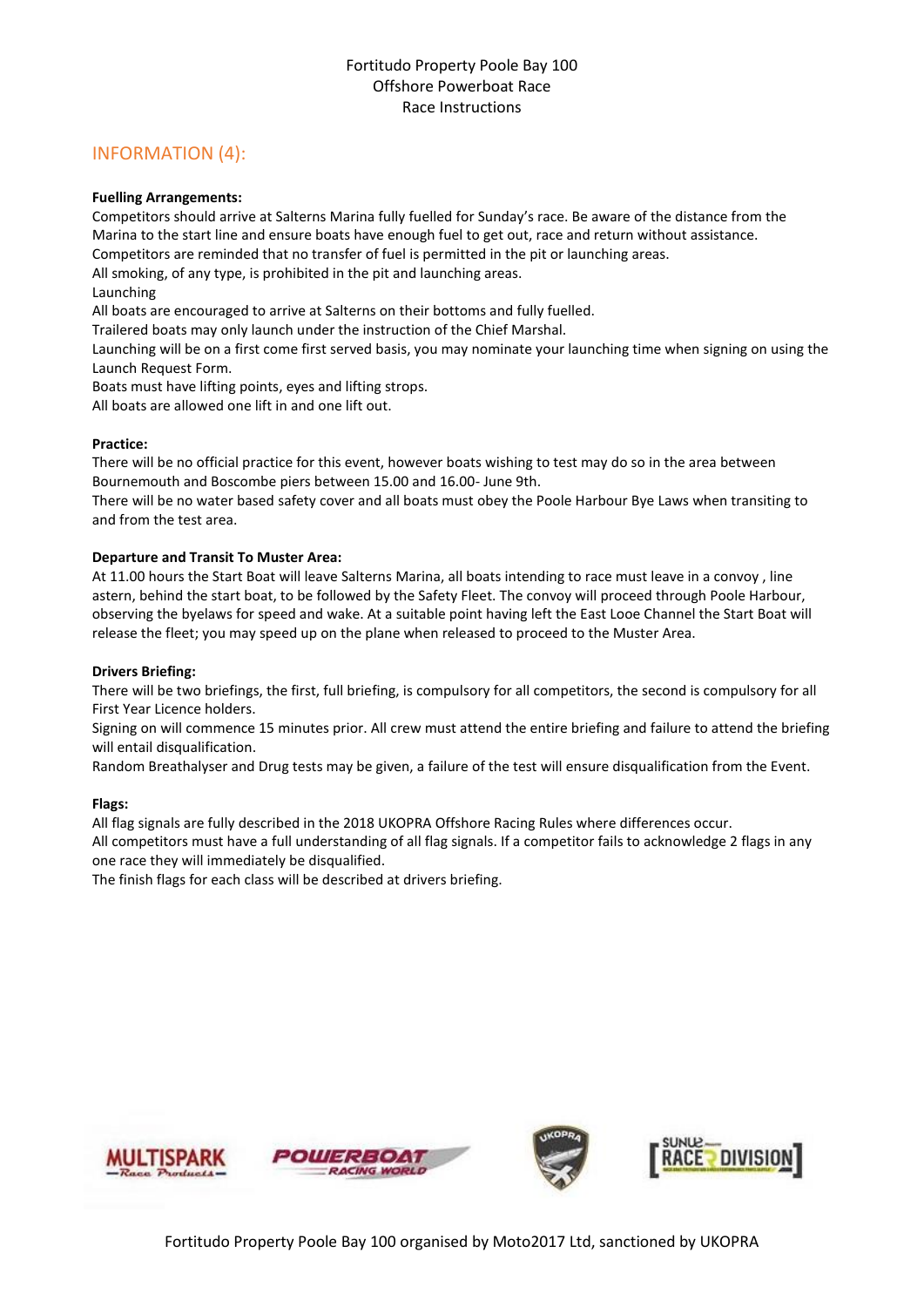#### INFORMATION (4):

#### **Fuelling Arrangements:**

Competitors should arrive at Salterns Marina fully fuelled for Sunday's race. Be aware of the distance from the Marina to the start line and ensure boats have enough fuel to get out, race and return without assistance.

Competitors are reminded that no transfer of fuel is permitted in the pit or launching areas.

All smoking, of any type, is prohibited in the pit and launching areas.

Launching

All boats are encouraged to arrive at Salterns on their bottoms and fully fuelled.

Trailered boats may only launch under the instruction of the Chief Marshal.

Launching will be on a first come first served basis, you may nominate your launching time when signing on using the Launch Request Form.

Boats must have lifting points, eyes and lifting strops.

All boats are allowed one lift in and one lift out.

#### **Practice:**

There will be no official practice for this event, however boats wishing to test may do so in the area between Bournemouth and Boscombe piers between 15.00 and 16.00- June 9th.

There will be no water based safety cover and all boats must obey the Poole Harbour Bye Laws when transiting to and from the test area.

#### **Departure and Transit To Muster Area:**

At 11.00 hours the Start Boat will leave Salterns Marina, all boats intending to race must leave in a convoy , line astern, behind the start boat, to be followed by the Safety Fleet. The convoy will proceed through Poole Harbour, observing the byelaws for speed and wake. At a suitable point having left the East Looe Channel the Start Boat will release the fleet; you may speed up on the plane when released to proceed to the Muster Area.

#### **Drivers Briefing:**

There will be two briefings, the first, full briefing, is compulsory for all competitors, the second is compulsory for all First Year Licence holders.

Signing on will commence 15 minutes prior. All crew must attend the entire briefing and failure to attend the briefing will entail disqualification.

Random Breathalyser and Drug tests may be given, a failure of the test will ensure disqualification from the Event.

#### **Flags:**

All flag signals are fully described in the 2018 UKOPRA Offshore Racing Rules where differences occur.

All competitors must have a full understanding of all flag signals. If a competitor fails to acknowledge 2 flags in any one race they will immediately be disqualified.

The finish flags for each class will be described at drivers briefing.

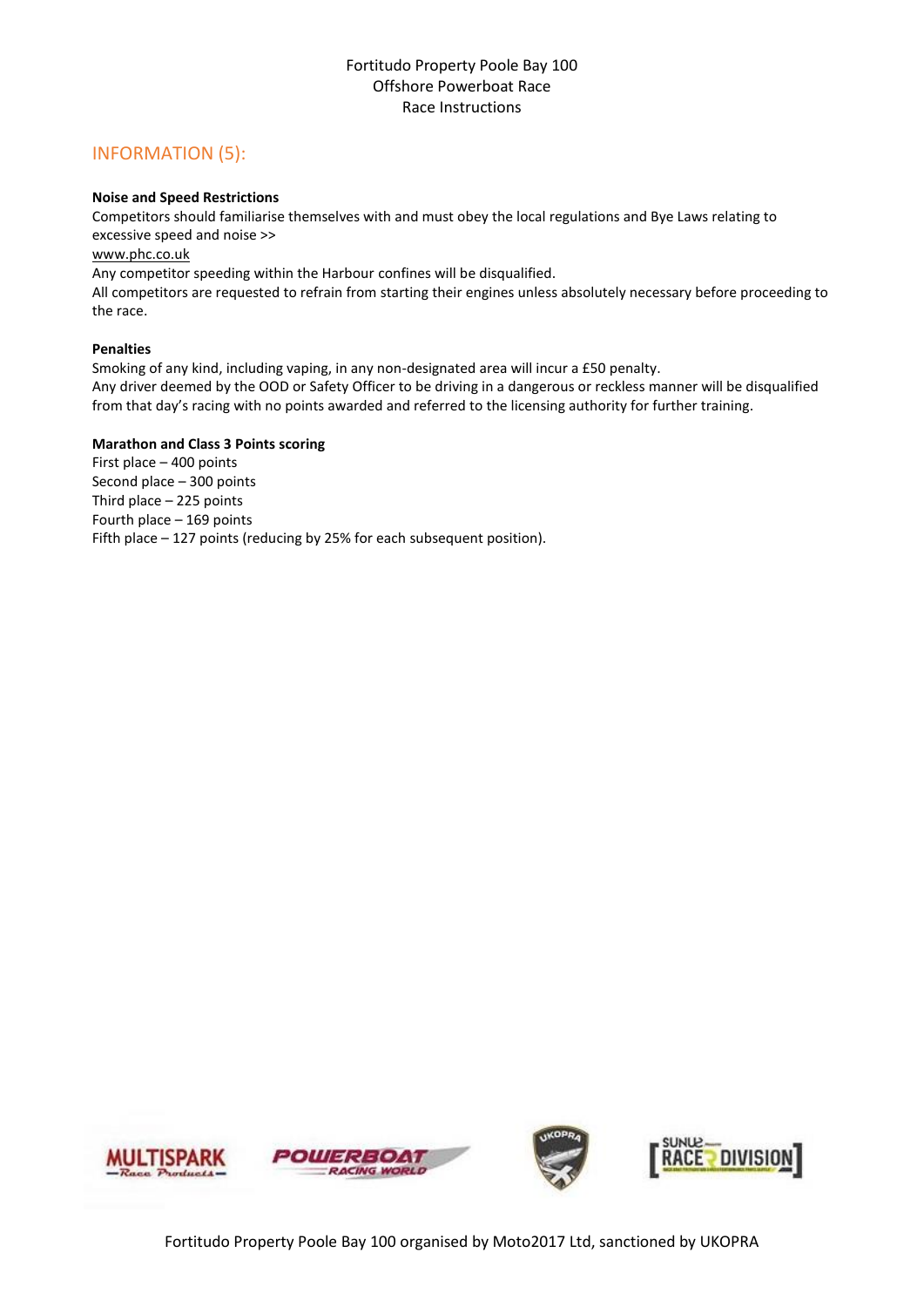#### INFORMATION (5):

#### **Noise and Speed Restrictions**

Competitors should familiarise themselves with and must obey the local regulations and Bye Laws relating to excessive speed and noise >>

[www.phc.co.uk](http://www.phc.co.uk/)

Any competitor speeding within the Harbour confines will be disqualified.

All competitors are requested to refrain from starting their engines unless absolutely necessary before proceeding to the race.

#### **Penalties**

Smoking of any kind, including vaping, in any non-designated area will incur a £50 penalty.

Any driver deemed by the OOD or Safety Officer to be driving in a dangerous or reckless manner will be disqualified from that day's racing with no points awarded and referred to the licensing authority for further training.

#### **Marathon and Class 3 Points scoring**

First place – 400 points Second place – 300 points Third place – 225 points Fourth place – 169 points Fifth place – 127 points (reducing by 25% for each subsequent position).